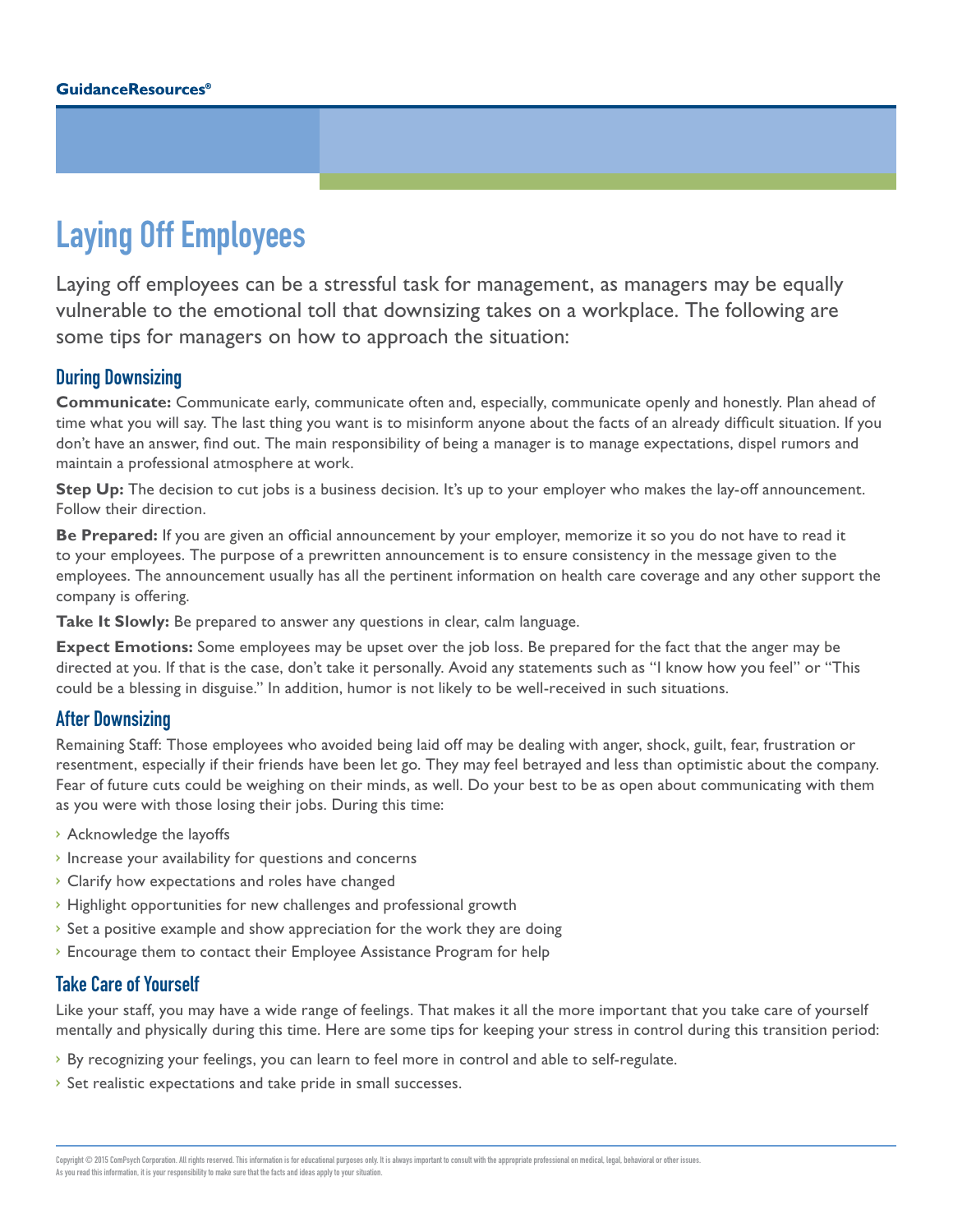# Laying Off Employees

Laying off employees can be a stressful task for management, as managers may be equally vulnerable to the emotional toll that downsizing takes on a workplace. The following are some tips for managers on how to approach the situation:

### During Downsizing

**Communicate:** Communicate early, communicate often and, especially, communicate openly and honestly. Plan ahead of time what you will say. The last thing you want is to misinform anyone about the facts of an already difficult situation. If you don't have an answer, find out. The main responsibility of being a manager is to manage expectations, dispel rumors and maintain a professional atmosphere at work.

**Step Up:** The decision to cut jobs is a business decision. It's up to your employer who makes the lay-off announcement. Follow their direction.

**Be Prepared:** If you are given an official announcement by your employer, memorize it so you do not have to read it to your employees. The purpose of a prewritten announcement is to ensure consistency in the message given to the employees. The announcement usually has all the pertinent information on health care coverage and any other support the company is offering.

**Take It Slowly:** Be prepared to answer any questions in clear, calm language.

**Expect Emotions:** Some employees may be upset over the job loss. Be prepared for the fact that the anger may be directed at you. If that is the case, don't take it personally. Avoid any statements such as "I know how you feel" or "This could be a blessing in disguise." In addition, humor is not likely to be well-received in such situations.

#### After Downsizing

Remaining Staff: Those employees who avoided being laid off may be dealing with anger, shock, guilt, fear, frustration or resentment, especially if their friends have been let go. They may feel betrayed and less than optimistic about the company. Fear of future cuts could be weighing on their minds, as well. Do your best to be as open about communicating with them as you were with those losing their jobs. During this time:

- › Acknowledge the layoffs
- › Increase your availability for questions and concerns
- › Clarify how expectations and roles have changed
- › Highlight opportunities for new challenges and professional growth
- › Set a positive example and show appreciation for the work they are doing
- › Encourage them to contact their Employee Assistance Program for help

#### Take Care of Yourself

Like your staff, you may have a wide range of feelings. That makes it all the more important that you take care of yourself mentally and physically during this time. Here are some tips for keeping your stress in control during this transition period:

- › By recognizing your feelings, you can learn to feel more in control and able to self-regulate.
- › Set realistic expectations and take pride in small successes.